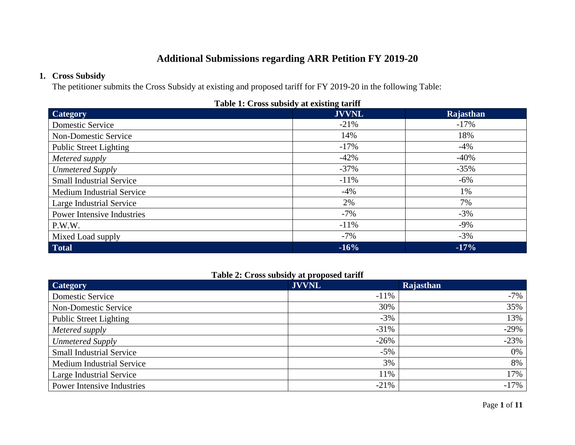# **Additional Submissions regarding ARR Petition FY 2019-20**

### **1. Cross Subsidy**

The petitioner submits the Cross Subsidy at existing and proposed tariff for FY 2019-20 in the following Table:

| Table 1. Cross subsidy at existing tariff |              |           |  |  |
|-------------------------------------------|--------------|-----------|--|--|
| <b>Category</b>                           | <b>JVVNL</b> | Rajasthan |  |  |
| Domestic Service                          | $-21\%$      | $-17\%$   |  |  |
| <b>Non-Domestic Service</b>               | 14%          | 18%       |  |  |
| <b>Public Street Lighting</b>             | $-17%$       | $-4%$     |  |  |
| Metered supply                            | $-42%$       | $-40%$    |  |  |
| <b>Unmetered Supply</b>                   | $-37\%$      | $-35%$    |  |  |
| <b>Small Industrial Service</b>           | $-11%$       | $-6\%$    |  |  |
| <b>Medium Industrial Service</b>          | $-4\%$       | 1%        |  |  |
| Large Industrial Service                  | 2%           | 7%        |  |  |
| <b>Power Intensive Industries</b>         | $-7%$        | $-3%$     |  |  |
| P.W.W.                                    | $-11%$       | $-9\%$    |  |  |
| Mixed Load supply                         | $-7\%$       | $-3%$     |  |  |
| <b>Total</b>                              | $-16%$       | $-17%$    |  |  |

#### **Table 1: Cross subsidy at existing tariff**

# **Table 2: Cross subsidy at proposed tariff**

| <b>Category</b>                  | <b>JVVNL</b> | Rajasthan |
|----------------------------------|--------------|-----------|
| Domestic Service                 | $-11\%$      | $-7\%$    |
| <b>Non-Domestic Service</b>      | 30%          | 35%       |
| <b>Public Street Lighting</b>    | $-3%$        | 13%       |
| Metered supply                   | $-31%$       | $-29%$    |
| <b>Unmetered Supply</b>          | $-26%$       | $-23%$    |
| <b>Small Industrial Service</b>  | $-5%$        | 0%        |
| <b>Medium Industrial Service</b> | 3%           | 8%        |
| Large Industrial Service         | 11%          | 17%       |
| Power Intensive Industries       | $-21%$       | $-17%$    |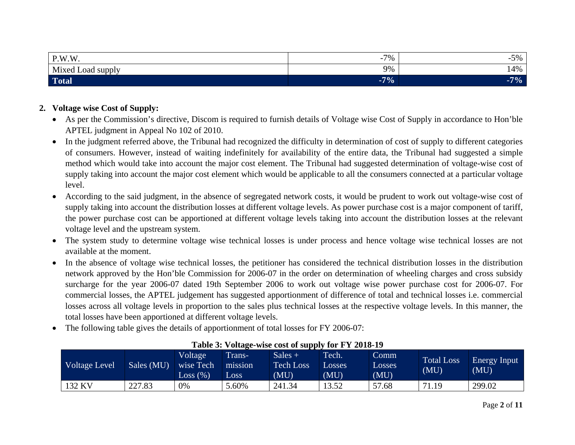| P.W.W                | 70/                   | $\prime\prime\prime$ |
|----------------------|-----------------------|----------------------|
| Mixed<br>Load supply | $\Omega$ <sub>2</sub> | $A_0$<br>⊶<br>. 70   |
| <b>Total</b>         | $-7%$                 | $7\%$                |

# **2. Voltage wise Cost of Supply:**

- As per the Commission's directive, Discom is required to furnish details of Voltage wise Cost of Supply in accordance to Hon'ble APTEL judgment in Appeal No 102 of 2010.
- In the judgment referred above, the Tribunal had recognized the difficulty in determination of cost of supply to different categories of consumers. However, instead of waiting indefinitely for availability of the entire data, the Tribunal had suggested a simple method which would take into account the major cost element. The Tribunal had suggested determination of voltage-wise cost of supply taking into account the major cost element which would be applicable to all the consumers connected at a particular voltage level.
- • According to the said judgment, in the absence of segregated network costs, it would be prudent to work out voltage-wise cost of supply taking into account the distribution losses at different voltage levels. As power purchase cost is a major component of tariff, the power purchase cost can be apportioned at different voltage levels taking into account the distribution losses at the relevant voltage level and the upstream system.
- The system study to determine voltage wise technical losses is under process and hence voltage wise technical losses are not available at the moment.
- In the absence of voltage wise technical losses, the petitioner has considered the technical distribution losses in the distribution network approved by the Hon'ble Commission for 2006-07 in the order on determination of wheeling charges and cross subsidy surcharge for the year 2006-07 dated 19th September 2006 to work out voltage wise power purchase cost for 2006-07. For commercial losses, the APTEL judgement has suggested apportionment of difference of total and technical losses i.e. commercial losses across all voltage levels in proportion to the sales plus technical losses at the respective voltage levels. In this manner, the total losses have been apportioned at different voltage levels.
- $\bullet$ The following table gives the details of apportionment of total losses for FY 2006-07:

| Voltage Level | Sales (MU) | Voltage<br>wise Tech<br>Loss (%) | Trans-<br>mission<br>Loss | Sales $+$<br><b>Tech Loss</b><br>(MU) | Tech.<br>Losses<br>(MU) | Comm<br>Losses<br>(MU) | <b>Total Loss</b><br>(MU) | <b>Energy Input</b><br>(MU) |
|---------------|------------|----------------------------------|---------------------------|---------------------------------------|-------------------------|------------------------|---------------------------|-----------------------------|
| $132$ KV      | 227.83     | 0%                               | .60%                      | 241.34                                | 13.52                   | 57.68                  | 71.19                     | 299.02                      |

# **Table 3: Voltage-wise cost of supply for FY 2018-19**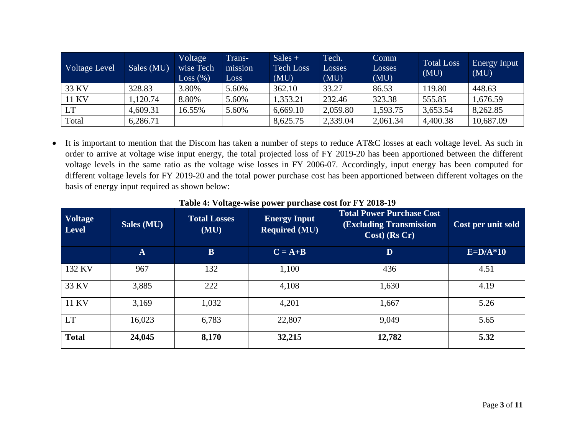| Voltage Level | Sales (MU) | Voltage<br>wise Tech<br>Loss (%) | Trans-<br>mission<br>Loss | $Sales +$<br><b>Tech Loss</b><br>(MU) | Tech.<br>Losses<br>(MU) | Comm<br>Losses<br>(MU) | <b>Total Loss</b><br>(MU) | Energy Input<br>(MU) |
|---------------|------------|----------------------------------|---------------------------|---------------------------------------|-------------------------|------------------------|---------------------------|----------------------|
| 33 KV         | 328.83     | 3.80%                            | 5.60%                     | 362.10                                | 33.27                   | 86.53                  | 119.80                    | 448.63               |
| 11 KV         | ,120.74    | 8.80%                            | 5.60%                     | 1,353.21                              | 232.46                  | 323.38                 | 555.85                    | 1,676.59             |
| <b>LT</b>     | 4,609.31   | 16.55%                           | 5.60%                     | 6,669.10                              | 2,059.80                | 1,593.75               | 3,653.54                  | 8,262.85             |
| Total         | 6,286.71   |                                  |                           | 8,625.75                              | 2,339.04                | 2,061.34               | 4,400.38                  | 10,687.09            |

• It is important to mention that the Discom has taken a number of steps to reduce AT&C losses at each voltage level. As such in order to arrive at voltage wise input energy, the total projected loss of FY 2019-20 has been apportioned between the different voltage levels in the same ratio as the voltage wise losses in FY 2006-07. Accordingly, input energy has been computed for different voltage levels for FY 2019-20 and the total power purchase cost has been apportioned between different voltages on the basis of energy input required as shown below:

| <b>Voltage</b><br><b>Level</b> | Sales (MU)   | <b>Total Losses</b><br>(MU) | <b>Energy Input</b><br><b>Required (MU)</b> | <b>Total Power Purchase Cost</b><br><b>(Excluding Transmission)</b><br>$Cost)$ (Rs Cr) | Cost per unit sold |
|--------------------------------|--------------|-----------------------------|---------------------------------------------|----------------------------------------------------------------------------------------|--------------------|
|                                | $\mathbf{A}$ | $\mathbf{B}$                | $C = A + B$                                 | D                                                                                      | $E=D/A*10$         |
| 132 KV                         | 967          | 132                         | 1,100                                       | 436                                                                                    | 4.51               |
| 33 KV                          | 3,885        | 222                         | 4,108                                       | 1,630                                                                                  | 4.19               |
| 11 KV                          | 3,169        | 1,032                       | 4,201                                       | 1,667                                                                                  | 5.26               |
| <b>LT</b>                      | 16,023       | 6,783                       | 22,807                                      | 9,049                                                                                  | 5.65               |
| <b>Total</b>                   | 24,045       | 8,170                       | 32,215                                      | 12,782                                                                                 | 5.32               |

**Table 4: Voltage-wise power purchase cost for FY 2018-19**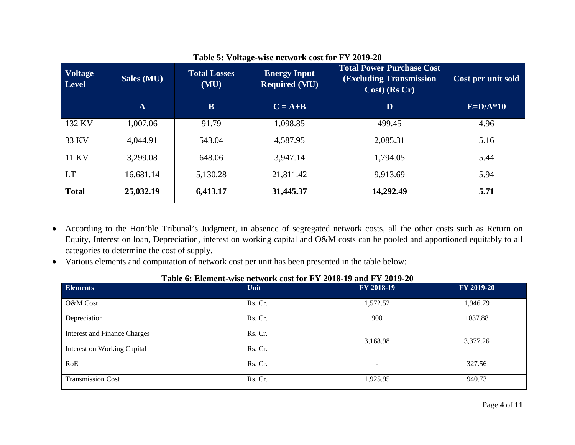| <b>Voltage</b><br><b>Level</b> | Sales $(MU)$ | <b>Total Losses</b><br>(MU) | <b>Energy Input</b><br><b>Required (MU)</b> | <b>Total Power Purchase Cost</b><br><b>(Excluding Transmission)</b><br>Cost) (Rs Cr) | Cost per unit sold |
|--------------------------------|--------------|-----------------------------|---------------------------------------------|--------------------------------------------------------------------------------------|--------------------|
|                                | $\mathbf{A}$ | $\mathbf{B}$                | $C = A+B$                                   | D                                                                                    | $E=D/A*10$         |
| 132 KV                         | 1,007.06     | 91.79                       | 1,098.85                                    | 499.45                                                                               | 4.96               |
| 33 KV                          | 4,044.91     | 543.04                      | 4,587.95                                    | 2,085.31                                                                             | 5.16               |
| 11 KV                          | 3,299.08     | 648.06                      | 3,947.14                                    | 1,794.05                                                                             | 5.44               |
| <b>LT</b>                      | 16,681.14    | 5,130.28                    | 21,811.42                                   | 9,913.69                                                                             | 5.94               |
| <b>Total</b>                   | 25,032.19    | 6,413.17                    | 31,445.37                                   | 14,292.49                                                                            | 5.71               |

### **Table 5: Voltage-wise network cost for FY 2019-20**

- According to the Hon'ble Tribunal's Judgment, in absence of segregated network costs, all the other costs such as Return on Equity, Interest on loan, Depreciation, interest on working capital and O&M costs can be pooled and apportioned equitably to all categories to determine the cost of supply.
- Various elements and computation of network cost per unit has been presented in the table below:

| <b>Elements</b>                     | Unit    | FY 2018-19               | FY 2019-20 |
|-------------------------------------|---------|--------------------------|------------|
| O&M Cost                            | Rs. Cr. | 1,572.52                 | 1,946.79   |
| Depreciation                        | Rs. Cr. | 900                      | 1037.88    |
| <b>Interest and Finance Charges</b> | Rs. Cr. | 3,168.98                 | 3,377.26   |
| <b>Interest on Working Capital</b>  | Rs. Cr. |                          |            |
| RoE                                 | Rs. Cr. | $\overline{\phantom{a}}$ | 327.56     |
| <b>Transmission Cost</b>            | Rs. Cr. | 1,925.95                 | 940.73     |

## **Table 6: Element-wise network cost for FY 2018-19 and FY 2019-20**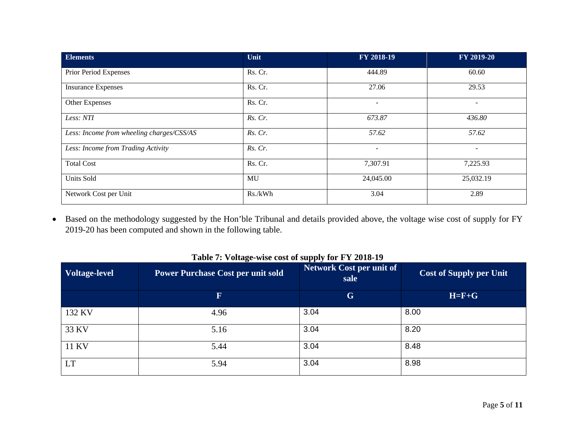| <b>Elements</b>                           | Unit    | FY 2018-19               | FY 2019-20               |
|-------------------------------------------|---------|--------------------------|--------------------------|
| Prior Period Expenses                     | Rs. Cr. | 444.89                   | 60.60                    |
| <b>Insurance Expenses</b>                 | Rs. Cr. | 27.06                    | 29.53                    |
| Other Expenses                            | Rs. Cr. | $\overline{\phantom{a}}$ | $\equiv$                 |
| Less: NTI                                 | Rs. Cr. | 673.87                   | 436.80                   |
| Less: Income from wheeling charges/CSS/AS | Rs. Cr. | 57.62                    | 57.62                    |
| Less: Income from Trading Activity        | Rs. Cr. | ۰                        | $\overline{\phantom{0}}$ |
| <b>Total Cost</b>                         | Rs. Cr. | 7,307.91                 | 7,225.93                 |
| Units Sold                                | MU      | 24,045.00                | 25,032.19                |
| Network Cost per Unit                     | Rs./kWh | 3.04                     | 2.89                     |

• Based on the methodology suggested by the Hon'ble Tribunal and details provided above, the voltage wise cost of supply for FY 2019-20 has been computed and shown in the following table.

| <b>Voltage-level</b> | <b>Power Purchase Cost per unit sold</b> | <b>Network Cost per unit of</b><br>sale | <b>Cost of Supply per Unit</b> |
|----------------------|------------------------------------------|-----------------------------------------|--------------------------------|
|                      | $\mathbf F$                              | G                                       | $H = F + G$                    |
| 132 KV               | 4.96                                     | 3.04                                    | 8.00                           |
| 33 KV                | 5.16                                     | 3.04                                    | 8.20                           |
| <b>11 KV</b>         | 5.44                                     | 3.04                                    | 8.48                           |
| LT                   | 5.94                                     | 3.04                                    | 8.98                           |

**Table 7: Voltage-wise cost of supply for FY 2018-19**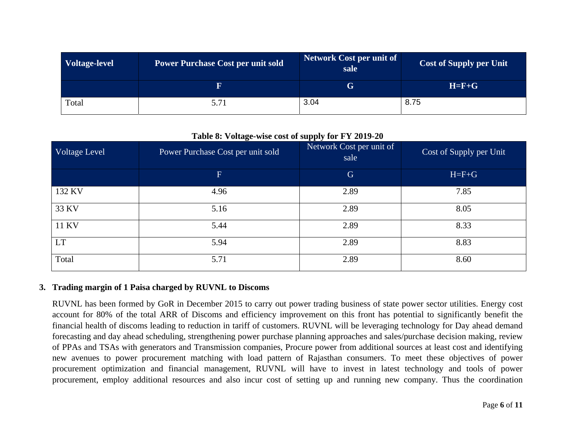| <b>Voltage-level</b> | <b>Power Purchase Cost per unit sold</b> | <b>Network Cost per unit of</b><br>sale | <b>Cost of Supply per Unit</b> |
|----------------------|------------------------------------------|-----------------------------------------|--------------------------------|
|                      | $\bold{F}$                               | G                                       | $H = F + G$                    |
| Total                | 5.71                                     | 3.04                                    | 8.75                           |

#### **Table 8: Voltage-wise cost of supply for FY 2019-20**

|               | $\bullet$                         | 1 1 V                            |                         |
|---------------|-----------------------------------|----------------------------------|-------------------------|
| Voltage Level | Power Purchase Cost per unit sold | Network Cost per unit of<br>sale | Cost of Supply per Unit |
|               | F.                                | $\mathbf G$                      | $H = F + G$             |
| 132 KV        | 4.96                              | 2.89                             | 7.85                    |
| 33 KV         | 5.16                              | 2.89                             | 8.05                    |
| 11 KV         | 5.44                              | 2.89                             | 8.33                    |
| <b>LT</b>     | 5.94                              | 2.89                             | 8.83                    |
| Total         | 5.71                              | 2.89                             | 8.60                    |

#### **3. Trading margin of 1 Paisa charged by RUVNL to Discoms**

RUVNL has been formed by GoR in December 2015 to carry out power trading business of state power sector utilities. Energy cost account for 80% of the total ARR of Discoms and efficiency improvement on this front has potential to significantly benefit the financial health of discoms leading to reduction in tariff of customers. RUVNL will be leveraging technology for Day ahead demand forecasting and day ahead scheduling, strengthening power purchase planning approaches and sales/purchase decision making, review of PPAs and TSAs with generators and Transmission companies, Procure power from additional sources at least cost and identifying new avenues to power procurement matching with load pattern of Rajasthan consumers. To meet these objectives of power procurement optimization and financial management, RUVNL will have to invest in latest technology and tools of power procurement, employ additional resources and also incur cost of setting up and running new company. Thus the coordination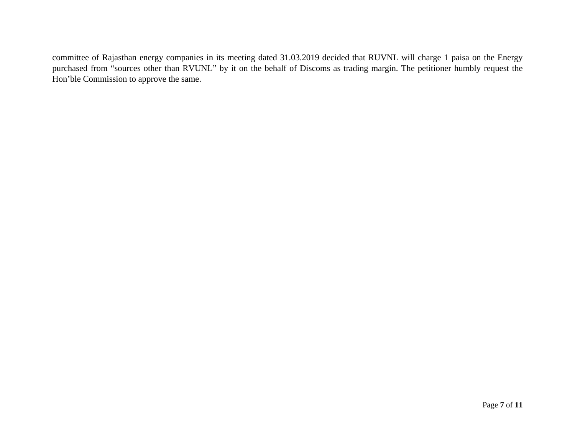committee of Rajasthan energy companies in its meeting dated 31.03.2019 decided that RUVNL will charge 1 paisa on the Energy purchased from "sources other than RVUNL" by it on the behalf of Discoms as trading margin. The petitioner humbly request the Hon'ble Commission to approve the same.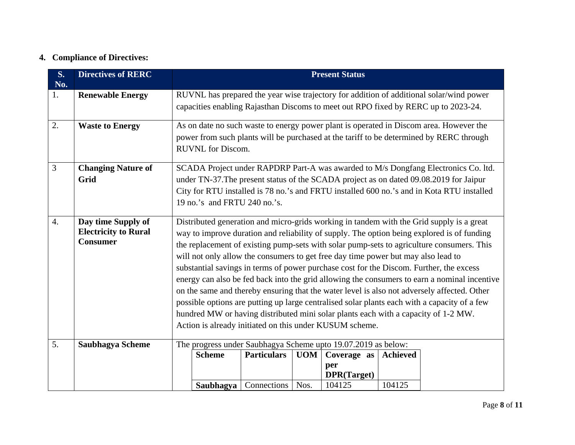## **4. Compliance of Directives:**

| <b>S.</b><br>No. | <b>Directives of RERC</b>                                            | <b>Present Status</b> |                              |                    |      |                                                                                                                                                                                                                                    |                 |                                                                                                                                                                                                                                                                                                                                                                                                                                                                                                                                                                                                                                                                               |
|------------------|----------------------------------------------------------------------|-----------------------|------------------------------|--------------------|------|------------------------------------------------------------------------------------------------------------------------------------------------------------------------------------------------------------------------------------|-----------------|-------------------------------------------------------------------------------------------------------------------------------------------------------------------------------------------------------------------------------------------------------------------------------------------------------------------------------------------------------------------------------------------------------------------------------------------------------------------------------------------------------------------------------------------------------------------------------------------------------------------------------------------------------------------------------|
| 1.               | <b>Renewable Energy</b>                                              |                       |                              |                    |      |                                                                                                                                                                                                                                    |                 | RUVNL has prepared the year wise trajectory for addition of additional solar/wind power<br>capacities enabling Rajasthan Discoms to meet out RPO fixed by RERC up to 2023-24.                                                                                                                                                                                                                                                                                                                                                                                                                                                                                                 |
| 2.               | <b>Waste to Energy</b>                                               |                       | <b>RUVNL</b> for Discom.     |                    |      |                                                                                                                                                                                                                                    |                 | As on date no such waste to energy power plant is operated in Discom area. However the<br>power from such plants will be purchased at the tariff to be determined by RERC through                                                                                                                                                                                                                                                                                                                                                                                                                                                                                             |
| 3                | <b>Changing Nature of</b><br>Grid                                    |                       | 19 no.'s and FRTU 240 no.'s. |                    |      |                                                                                                                                                                                                                                    |                 | SCADA Project under RAPDRP Part-A was awarded to M/s Dongfang Electronics Co. ltd.<br>under TN-37. The present status of the SCADA project as on dated 09.08.2019 for Jaipur<br>City for RTU installed is 78 no.'s and FRTU installed 600 no.'s and in Kota RTU installed                                                                                                                                                                                                                                                                                                                                                                                                     |
| $\overline{4}$ . | Day time Supply of<br><b>Electricity to Rural</b><br><b>Consumer</b> |                       |                              |                    |      | will not only allow the consumers to get free day time power but may also lead to<br>hundred MW or having distributed mini solar plants each with a capacity of 1-2 MW.<br>Action is already initiated on this under KUSUM scheme. |                 | Distributed generation and micro-grids working in tandem with the Grid supply is a great<br>way to improve duration and reliability of supply. The option being explored is of funding<br>the replacement of existing pump-sets with solar pump-sets to agriculture consumers. This<br>substantial savings in terms of power purchase cost for the Discom. Further, the excess<br>energy can also be fed back into the grid allowing the consumers to earn a nominal incentive<br>on the same and thereby ensuring that the water level is also not adversely affected. Other<br>possible options are putting up large centralised solar plants each with a capacity of a few |
| 5.               | <b>Saubhagya Scheme</b>                                              |                       | <b>Scheme</b>                | <b>Particulars</b> | UOM  | The progress under Saubhagya Scheme upto 19.07.2019 as below:<br>Coverage as                                                                                                                                                       | <b>Achieved</b> |                                                                                                                                                                                                                                                                                                                                                                                                                                                                                                                                                                                                                                                                               |
|                  |                                                                      |                       |                              |                    |      | per<br>DPR(Target)                                                                                                                                                                                                                 |                 |                                                                                                                                                                                                                                                                                                                                                                                                                                                                                                                                                                                                                                                                               |
|                  |                                                                      |                       | Saubhagya                    | Connections        | Nos. | 104125                                                                                                                                                                                                                             | 104125          |                                                                                                                                                                                                                                                                                                                                                                                                                                                                                                                                                                                                                                                                               |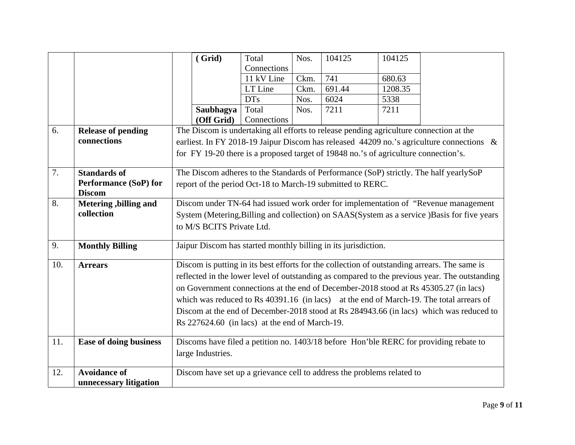|     |                               |                                                                                               | (Grid)            | Total       | Nos. | 104125                                                                 | 104125  |                                                                                          |
|-----|-------------------------------|-----------------------------------------------------------------------------------------------|-------------------|-------------|------|------------------------------------------------------------------------|---------|------------------------------------------------------------------------------------------|
|     |                               |                                                                                               |                   | Connections |      |                                                                        |         |                                                                                          |
|     |                               |                                                                                               |                   | 11 kV Line  | Ckm. | 741                                                                    | 680.63  |                                                                                          |
|     |                               |                                                                                               |                   | LT Line     | Ckm. | 691.44                                                                 | 1208.35 |                                                                                          |
|     |                               |                                                                                               |                   | <b>DTs</b>  | Nos. | 6024                                                                   | 5338    |                                                                                          |
|     |                               |                                                                                               | Saubhagya         | Total       | Nos. | 7211                                                                   | 7211    |                                                                                          |
|     |                               |                                                                                               | (Off Grid)        | Connections |      |                                                                        |         |                                                                                          |
| 6.  | <b>Release of pending</b>     | The Discom is undertaking all efforts to release pending agriculture connection at the        |                   |             |      |                                                                        |         |                                                                                          |
|     | connections                   |                                                                                               |                   |             |      |                                                                        |         | earliest. In FY 2018-19 Jaipur Discom has released 44209 no.'s agriculture connections & |
|     |                               | for FY 19-20 there is a proposed target of 19848 no.'s of agriculture connection's.           |                   |             |      |                                                                        |         |                                                                                          |
|     |                               |                                                                                               |                   |             |      |                                                                        |         |                                                                                          |
| 7.  | <b>Standards of</b>           | The Discom adheres to the Standards of Performance (SoP) strictly. The half yearlySoP         |                   |             |      |                                                                        |         |                                                                                          |
|     | <b>Performance (SoP) for</b>  | report of the period Oct-18 to March-19 submitted to RERC.                                    |                   |             |      |                                                                        |         |                                                                                          |
|     | <b>Discom</b>                 |                                                                                               |                   |             |      |                                                                        |         |                                                                                          |
| 8.  | Metering, billing and         | Discom under TN-64 had issued work order for implementation of "Revenue management"           |                   |             |      |                                                                        |         |                                                                                          |
|     | collection                    | System (Metering, Billing and collection) on SAAS(System as a service) Basis for five years   |                   |             |      |                                                                        |         |                                                                                          |
|     |                               | to M/S BCITS Private Ltd.                                                                     |                   |             |      |                                                                        |         |                                                                                          |
|     |                               |                                                                                               |                   |             |      |                                                                        |         |                                                                                          |
| 9.  | <b>Monthly Billing</b>        |                                                                                               |                   |             |      | Jaipur Discom has started monthly billing in its jurisdiction.         |         |                                                                                          |
| 10. | <b>Arrears</b>                | Discom is putting in its best efforts for the collection of outstanding arrears. The same is  |                   |             |      |                                                                        |         |                                                                                          |
|     |                               | reflected in the lower level of outstanding as compared to the previous year. The outstanding |                   |             |      |                                                                        |         |                                                                                          |
|     |                               | on Government connections at the end of December-2018 stood at Rs 45305.27 (in lacs)          |                   |             |      |                                                                        |         |                                                                                          |
|     |                               | which was reduced to Rs 40391.16 (in lacs) at the end of March-19. The total arrears of       |                   |             |      |                                                                        |         |                                                                                          |
|     |                               | Discom at the end of December-2018 stood at Rs 284943.66 (in lacs) which was reduced to       |                   |             |      |                                                                        |         |                                                                                          |
|     |                               | Rs 227624.60 (in lacs) at the end of March-19.                                                |                   |             |      |                                                                        |         |                                                                                          |
|     |                               |                                                                                               |                   |             |      |                                                                        |         |                                                                                          |
| 11. | <b>Ease of doing business</b> |                                                                                               |                   |             |      |                                                                        |         | Discoms have filed a petition no. 1403/18 before Hon'ble RERC for providing rebate to    |
|     |                               |                                                                                               | large Industries. |             |      |                                                                        |         |                                                                                          |
|     |                               |                                                                                               |                   |             |      |                                                                        |         |                                                                                          |
| 12. | <b>Avoidance of</b>           |                                                                                               |                   |             |      | Discom have set up a grievance cell to address the problems related to |         |                                                                                          |
|     | unnecessary litigation        |                                                                                               |                   |             |      |                                                                        |         |                                                                                          |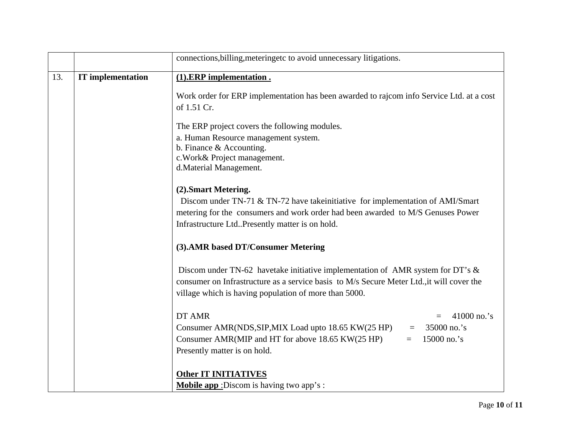|     |                          | connections, billing, metering etc to avoid unnecessary litigations.                                                                                                                                                                     |  |  |  |  |  |
|-----|--------------------------|------------------------------------------------------------------------------------------------------------------------------------------------------------------------------------------------------------------------------------------|--|--|--|--|--|
| 13. | <b>IT</b> implementation | $(1).$ ERP implementation.                                                                                                                                                                                                               |  |  |  |  |  |
|     |                          | Work order for ERP implementation has been awarded to rajcom info Service Ltd. at a cost<br>of 1.51 Cr.                                                                                                                                  |  |  |  |  |  |
|     |                          | The ERP project covers the following modules.                                                                                                                                                                                            |  |  |  |  |  |
|     |                          | a. Human Resource management system.                                                                                                                                                                                                     |  |  |  |  |  |
|     |                          | b. Finance $&$ Accounting.<br>c. Work& Project management.                                                                                                                                                                               |  |  |  |  |  |
|     |                          | d.Material Management.                                                                                                                                                                                                                   |  |  |  |  |  |
|     |                          | (2). Smart Metering.                                                                                                                                                                                                                     |  |  |  |  |  |
|     |                          | Discom under TN-71 & TN-72 have take initiative for implementation of AMI/Smart                                                                                                                                                          |  |  |  |  |  |
|     |                          | metering for the consumers and work order had been awarded to M/S Genuses Power                                                                                                                                                          |  |  |  |  |  |
|     |                          | Infrastructure LtdPresently matter is on hold.                                                                                                                                                                                           |  |  |  |  |  |
|     |                          | (3). AMR based DT/Consumer Metering                                                                                                                                                                                                      |  |  |  |  |  |
|     |                          | Discom under TN-62 have take initiative implementation of AMR system for DT's $\&$<br>consumer on Infrastructure as a service basis to M/s Secure Meter Ltd., it will cover the<br>village which is having population of more than 5000. |  |  |  |  |  |
|     |                          | DT AMR<br>41000 no.'s<br>$=$                                                                                                                                                                                                             |  |  |  |  |  |
|     |                          | Consumer AMR(NDS, SIP, MIX Load upto 18.65 KW(25 HP)<br>35000 no.'s                                                                                                                                                                      |  |  |  |  |  |
|     |                          | Consumer AMR(MIP and HT for above 18.65 KW(25 HP)<br>15000 no.'s<br>$=$                                                                                                                                                                  |  |  |  |  |  |
|     |                          | Presently matter is on hold.                                                                                                                                                                                                             |  |  |  |  |  |
|     |                          | <b>Other IT INITIATIVES</b>                                                                                                                                                                                                              |  |  |  |  |  |
|     |                          | <b>Mobile app</b> : Discom is having two app's:                                                                                                                                                                                          |  |  |  |  |  |